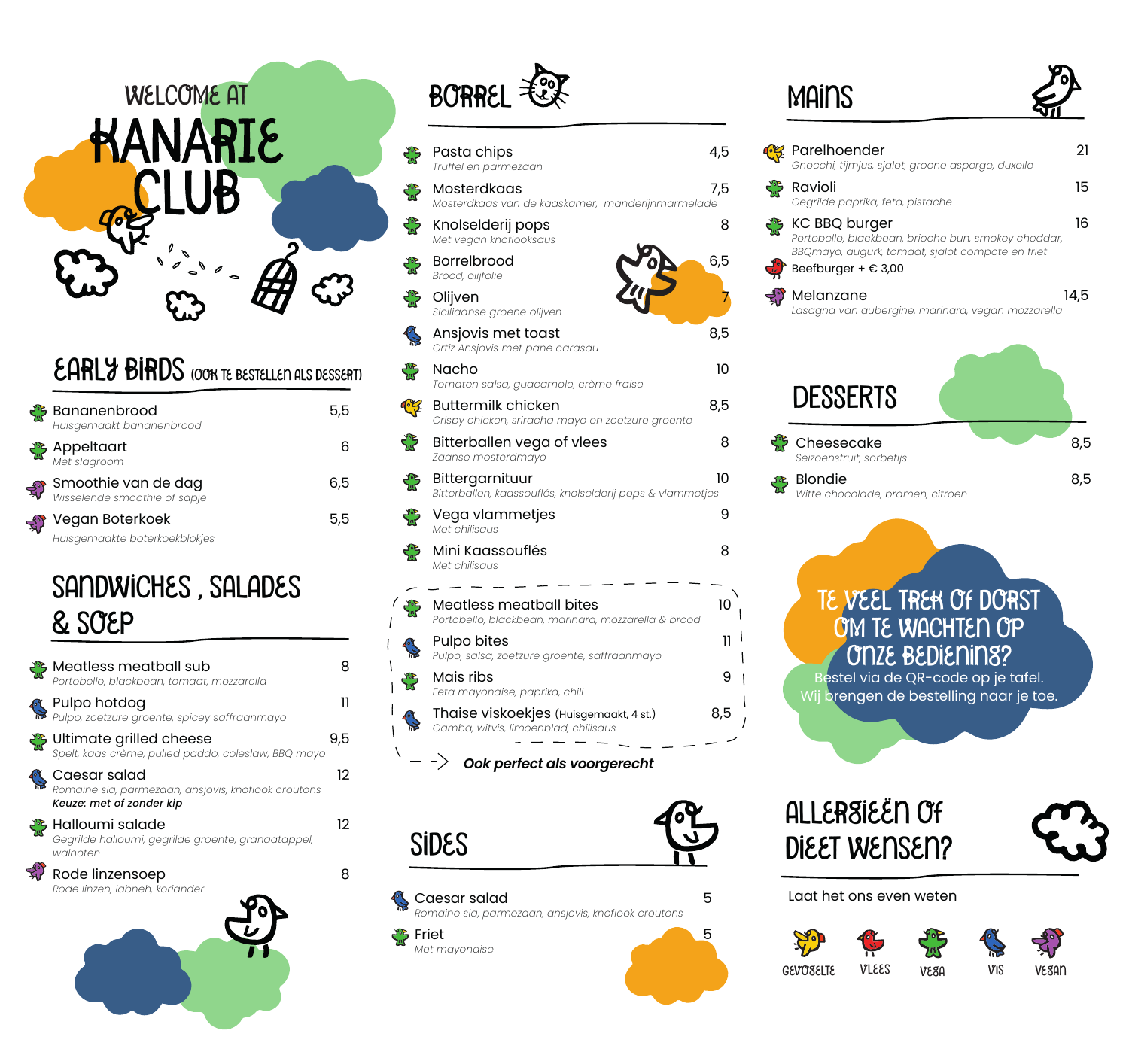

#### EARLY BIRDS (OOK TE BESTELLEN ALS DESSERT)

| Bananenbrood<br>Huisgemaakt bananenbrood                   | 5,5 |
|------------------------------------------------------------|-----|
| <b>Appeltaart</b><br>Met slagroom                          |     |
| <b>Smoothie van de dag</b><br>Wisselende smoothie of sapje | 6,5 |
| Vegan Boterkoek<br>Huisgemaakte boterkoekblokjes           | ხ.ხ |
|                                                            |     |

### sandwiches , salades & soep

| <b>Meatless meatball sub</b><br><b>Portobello, blackbean, tomaat, mozzarella</b>                | 8   |
|-------------------------------------------------------------------------------------------------|-----|
| <b>Pulpo hotdog</b><br>Pulpo, zoetzure groente, spicey saffraanmayo                             | 11  |
| <b>&amp;</b> Ultimate grilled cheese<br>Spelt, kaas crème, pulled paddo, coleslaw, BBQ mayo     | 9,5 |
| Caesar salad<br>Romaine sla, parmezaan, ansjovis, knoflook croutons<br>Keuze: met of zonder kip | 12  |
| Halloumi salade<br>Gegrilde halloumi, gegrilde groente, granaatappel,<br>walnoten               | 12  |
| Rode linzensoep<br>Rode linzen, labneh, koriander                                               | 8   |
|                                                                                                 |     |

# BORREL  $\mathcal{E}$

|             | Pasta chips<br>Truffel en parmezaan                                                   | 4,5 |
|-------------|---------------------------------------------------------------------------------------|-----|
| ₩           | Mosterdkaas<br>Mosterdkaas van de kaaskamer, manderijnmarmelade                       | 7,5 |
| ₩           | Knolselderij pops<br>Met vegan knoflooksaus                                           | 8   |
| میں<br>کلیا | <b>Borrelbrood</b><br>Brood, olijfolie                                                | 6,5 |
| میں<br>سا   | Olijven<br>Siciliaanse groene olijven                                                 |     |
| <b>SOF</b>  | Ansjovis met toast<br>Ortiz Ansjovis met pane carasau                                 | 8,5 |
| ₩           | Nacho<br>Tomaten salsa, guacamole, crème fraise                                       | 10  |
| CF-         | <b>Buttermilk chicken</b><br>Crispy chicken, sriracha mayo en zoetzure groente        | 8,5 |
| ₩           | Bitterballen vega of vlees<br>Zaanse mosterdmayo                                      | 8   |
| ₩           | Bittergarnituur<br>Bitterballen, kaassouflés, knolselderij pops & vlammetjes          | 10  |
| ₩           | Vega vlammetjes<br>Met chilisaus                                                      | 9   |
| ₩           | Mini Kaassouflés<br>Met chilisaus                                                     | 8   |
|             | <b>Meatless meatball bites</b><br>Portobello, blackbean, marinara, mozzarella & brood | 10  |
|             | Pulpo bites<br>Pulpo, salsa, zoetzure groente, saffraanmayo                           | 11  |
| میں<br>کلیا | Mais ribs<br>Feta mayonaise, paprika, chili                                           | 9   |
|             | Thaise viskoekjes (Huisgemaakt, 4 st.)<br>Gamba, witvis, limoenblad, chilisaus        | 8,5 |
|             | $\rightarrow$<br>Ook perfect als voorgerecht                                          |     |

sides

 $\prime$ 





### **MAINS**

| Parelhoender<br>Gnocchi, tijmjus, sjalot, groene asperge, duxelle                                                                                                  | 21   |
|--------------------------------------------------------------------------------------------------------------------------------------------------------------------|------|
| Ravioli<br>Gegrilde paprika, feta, pistache                                                                                                                        | 15   |
| KC BBQ burger<br>Portobello, blackbean, brioche bun, smokey cheddar,<br>BBQmayo, augurk, tomaat, sjalot compote en friet<br>$\bigcup$ Beefburger + $\epsilon$ 3,00 | 16   |
| Melanzane<br>Lasagna van aubergine, marinara, vegan mozzarella                                                                                                     | 14,5 |
| <b>DESSERTS</b>                                                                                                                                                    |      |
| Cheesecake<br>Seizoensfruit, sorbetijs                                                                                                                             | 8,5  |
| <b>Blondie</b><br>Witte chocolade, bramen, citroen                                                                                                                 | 8,5  |
| TE VEEL TREN OF DORST<br>OM TE WACHTEN OP<br><b>ONZE BEDIENINS?</b><br>Bestel via de QR-code op je tafel.<br>Wij brengen de bestelling naar je toe                 |      |
| ALLERSIEEN OF<br>DIEET WENSEN?                                                                                                                                     |      |
| Laat het ons even weten                                                                                                                                            |      |
|                                                                                                                                                                    |      |

Gevogelte vlees vega vis Vegan